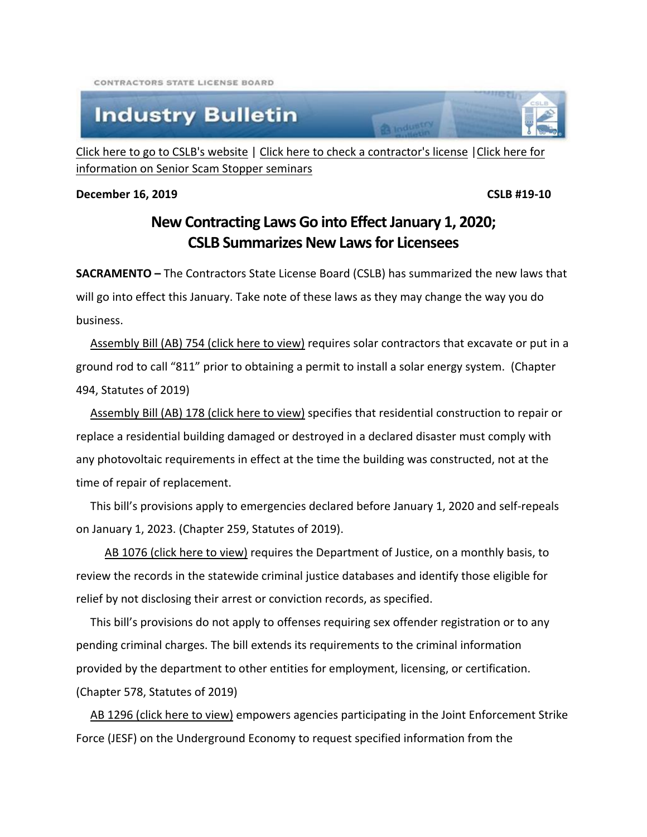CONTRACTORS STATE LICENSE BOARD

## **Industry Bulletin**

[Click here to go to CSLB's website](http://www.cslb.ca.gov/) | [Click here to check a contractor's license](http://www.checkthelicensefirst.com/) [|Click here for](http://www.seniorscamstopper.com/)  [information on Senior Scam Stopper seminars](http://www.seniorscamstopper.com/)

**December 16, 2019 CSLB #19-10** 

## **New Contracting Laws Go into Effect January 1, 2020; CSLB Summarizes New Laws for Licensees**

**RA** Industry

**SACRAMENTO –** The Contractors State License Board (CSLB) has summarized the new laws that will go into effect this January. Take note of these laws as they may change the way you do business.

[Assembly Bill \(AB\) 754 \(click here to view\)](http://leginfo.legislature.ca.gov/faces/billNavClient.xhtml?bill_id=201920200AB754) requires solar contractors that excavate or put in a ground rod to call "811" prior to obtaining a permit to install a solar energy system. (Chapter 494, Statutes of 2019)

[Assembly Bill \(AB\) 178 \(click here to view\)](http://leginfo.legislature.ca.gov/faces/billNavClient.xhtml?bill_id=201920200AB178) specifies that residential construction to repair or replace a residential building damaged or destroyed in a declared disaster must comply with any photovoltaic requirements in effect at the time the building was constructed, not at the time of repair of replacement.

 This bill's provisions apply to emergencies declared before January 1, 2020 and self-repeals on January 1, 2023. (Chapter 259, Statutes of 2019).

 [AB 1076 \(click here to view\)](http://leginfo.legislature.ca.gov/faces/billNavClient.xhtml?bill_id=201920200AB1076) requires the Department of Justice, on a monthly basis, to review the records in the statewide criminal justice databases and identify those eligible for relief by not disclosing their arrest or conviction records, as specified.

 This bill's provisions do not apply to offenses requiring sex offender registration or to any pending criminal charges. The bill extends its requirements to the criminal information provided by the department to other entities for employment, licensing, or certification. (Chapter 578, Statutes of 2019)

[AB 1296 \(click here to view\)](http://leginfo.legislature.ca.gov/faces/billNavClient.xhtml?bill_id=201920200AB1296) empowers agencies participating in the Joint Enforcement Strike Force (JESF) on the Underground Economy to request specified information from the